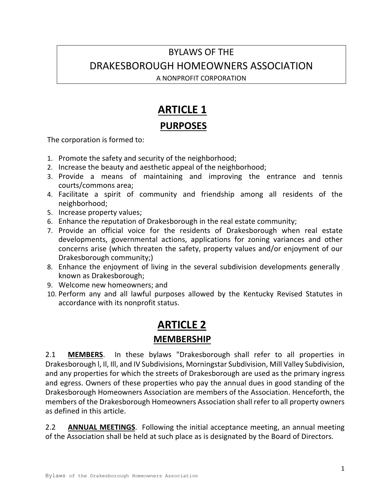## BYLAWS OF THE DRAKESBOROUGH HOMEOWNERS ASSOCIATION

A NONPROFIT CORPORATION

## **ARTICLE 1**

#### **PURPOSES**

The corporation is formed to:

- 1. Promote the safety and security of the neighborhood;
- 2. Increase the beauty and aesthetic appeal of the neighborhood;
- 3. Provide a means of maintaining and improving the entrance and tennis courts/commons area;
- 4. Facilitate a spirit of community and friendship among all residents of the neighborhood;
- 5. Increase property values;
- 6. Enhance the reputation of Drakesborough in the real estate community;
- 7. Provide an official voice for the residents of Drakesborough when real estate developments, governmental actions, applications for zoning variances and other concerns arise (which threaten the safety, property values and/or enjoyment of our Drakesborough community;)
- 8. Enhance the enjoyment of living in the several subdivision developments generally known as Drakesborough;
- 9. Welcome new homeowners; and
- 10. Perform any and all lawful purposes allowed by the Kentucky Revised Statutes in accordance with its nonprofit status.

## **ARTICLE 2 MEMBERSHIP**

2.1 **MEMBERS**. In these bylaws "Drakesborough shall refer to all properties in Drakesborough l, Il, Ill, and IV Subdivisions, Morningstar Subdivision, Mill Valley Subdivision, and any properties for which the streets of Drakesborough are used as the primary ingress and egress. Owners of these properties who pay the annual dues in good standing of the Drakesborough Homeowners Association are members of the Association. Henceforth, the members of the Drakesborough Homeowners Association shall refer to all property owners as defined in this article.

2.2 **ANNUAL MEETINGS**. Following the initial acceptance meeting, an annual meeting of the Association shall be held at such place as is designated by the Board of Directors.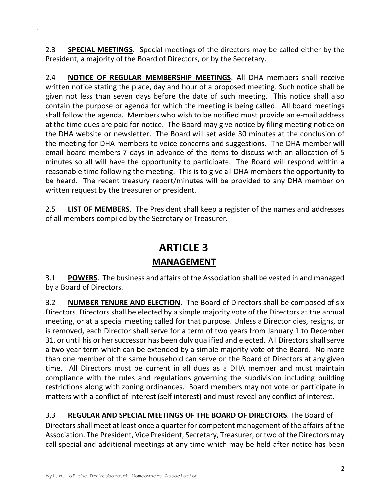2.3 **SPECIAL MEETINGS**. Special meetings of the directors may be called either by the President, a majority of the Board of Directors, or by the Secretary.

2.4 **NOTICE OF REGULAR MEMBERSHIP MEETINGS**. All DHA members shall receive written notice stating the place, day and hour of a proposed meeting. Such notice shall be given not less than seven days before the date of such meeting. This notice shall also contain the purpose or agenda for which the meeting is being called. All board meetings shall follow the agenda. Members who wish to be notified must provide an e-mail address at the time dues are paid for notice. The Board may give notice by filing meeting notice on the DHA website or newsletter. The Board will set aside 30 minutes at the conclusion of the meeting for DHA members to voice concerns and suggestions. The DHA member will email board members 7 days in advance of the items to discuss with an allocation of 5 minutes so all will have the opportunity to participate. The Board will respond within a reasonable time following the meeting. This is to give all DHA members the opportunity to be heard. The recent treasury report/minutes will be provided to any DHA member on written request by the treasurer or president.

2.5 **LIST OF MEMBERS**. The President shall keep a register of the names and addresses of all members compiled by the Secretary or Treasurer.

# **ARTICLE 3**

#### **MANAGEMENT**

3.1 **POWERS**. The business and affairs of the Association shall be vested in and managed by a Board of Directors.

3.2 **NUMBER TENURE AND ELECTION**. The Board of Directors shall be composed of six Directors. Directors shall be elected by a simple majority vote of the Directors at the annual meeting, or at a special meeting called for that purpose. Unless a Director dies, resigns, or is removed, each Director shall serve for a term of two years from January 1 to December 31, or until his or her successor has been duly qualified and elected. All Directors shall serve a two year term which can be extended by a simple majority vote of the Board. No more than one member of the same household can serve on the Board of Directors at any given time. All Directors must be current in all dues as a DHA member and must maintain compliance with the rules and regulations governing the subdivision including building restrictions along with zoning ordinances. Board members may not vote or participate in matters with a conflict of interest (self interest) and must reveal any conflict of interest.

3.3 **REGULAR AND SPECIAL MEETINGS OF THE BOARD OF DIRECTORS**. The Board of Directors shall meet at least once a quarter for competent management of the affairs of the Association. The President, Vice President, Secretary, Treasurer, or two of the Directors may call special and additional meetings at any time which may be held after notice has been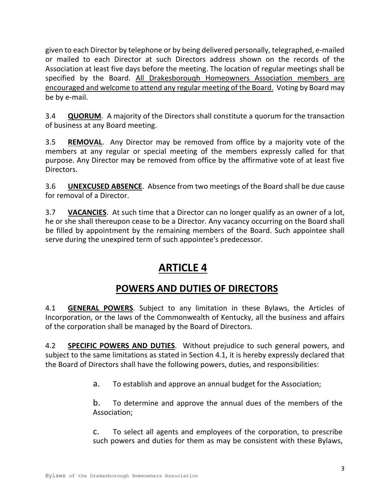given to each Director by telephone or by being delivered personally, telegraphed, e-mailed or mailed to each Director at such Directors address shown on the records of the Association at least five days before the meeting. The location of regular meetings shall be specified by the Board. All Drakesborouqh Homeowners Association members are encouraged and welcome to attend any regular meeting of the Board. Voting by Board may be by e-mail.

3.4 **QUORUM**. A majority of the Directors shall constitute a quorum for the transaction of business at any Board meeting.

3.5 **REMOVAL**. Any Director may be removed from office by a majority vote of the members at any regular or special meeting of the members expressly called for that purpose. Any Director may be removed from office by the affirmative vote of at least five Directors.

3.6 **UNEXCUSED ABSENCE**. Absence from two meetings of the Board shall be due cause for removal of a Director.

3.7 **VACANCIES**. At such time that a Director can no longer qualify as an owner of a lot, he or she shall thereupon cease to be a Director. Any vacancy occurring on the Board shall be filled by appointment by the remaining members of the Board. Such appointee shall serve during the unexpired term of such appointee's predecessor.

## **ARTICLE 4**

#### **POWERS AND DUTIES OF DIRECTORS**

4.1 **GENERAL POWERS**. Subject to any limitation in these Bylaws, the Articles of Incorporation, or the laws of the Commonwealth of Kentucky, all the business and affairs of the corporation shall be managed by the Board of Directors.

4.2 **SPECIFIC POWERS AND DUTIES**. Without prejudice to such general powers, and subject to the same limitations as stated in Section 4.1, it is hereby expressly declared that the Board of Directors shall have the following powers, duties, and responsibilities:

a. To establish and approve an annual budget for the Association;

b. To determine and approve the annual dues of the members of the Association;

c. To select all agents and employees of the corporation, to prescribe such powers and duties for them as may be consistent with these Bylaws,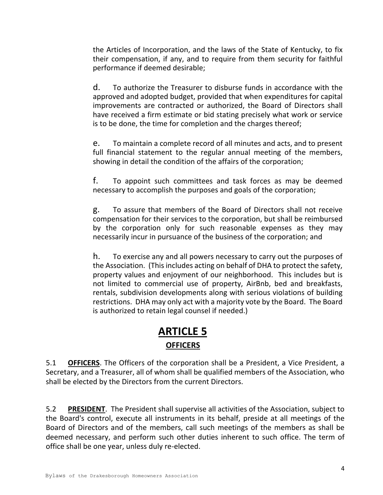the Articles of Incorporation, and the laws of the State of Kentucky, to fix their compensation, if any, and to require from them security for faithful performance if deemed desirable;

d. To authorize the Treasurer to disburse funds in accordance with the approved and adopted budget, provided that when expenditures for capital improvements are contracted or authorized, the Board of Directors shall have received a firm estimate or bid stating precisely what work or service is to be done, the time for completion and the charges thereof;

e. To maintain a complete record of all minutes and acts, and to present full financial statement to the regular annual meeting of the members, showing in detail the condition of the affairs of the corporation;

f. To appoint such committees and task forces as may be deemed necessary to accomplish the purposes and goals of the corporation;

g. To assure that members of the Board of Directors shall not receive compensation for their services to the corporation, but shall be reimbursed by the corporation only for such reasonable expenses as they may necessarily incur in pursuance of the business of the corporation; and

h. To exercise any and all powers necessary to carry out the purposes of the Association. (This includes acting on behalf of DHA to protect the safety, property values and enjoyment of our neighborhood. This includes but is not limited to commercial use of property, AirBnb, bed and breakfasts, rentals, subdivision developments along with serious violations of building restrictions. DHA may only act with a majority vote by the Board. The Board is authorized to retain legal counsel if needed.)

#### **ARTICLE 5 OFFICERS**

5.1 **OFFICERS**. The Officers of the corporation shall be a President, a Vice President, a Secretary, and a Treasurer, all of whom shall be qualified members of the Association, who shall be elected by the Directors from the current Directors.

5.2 **PRESIDENT**. The President shall supervise all activities of the Association, subject to the Board's control, execute all instruments in its behalf, preside at all meetings of the Board of Directors and of the members, call such meetings of the members as shall be deemed necessary, and perform such other duties inherent to such office. The term of office shall be one year, unless duly re-elected.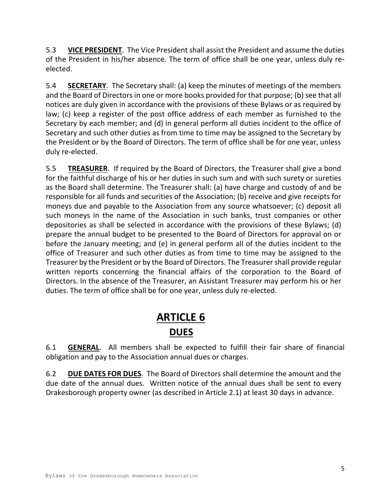5.3 **VICE PRESIDENT**. The Vice President shall assist the President and assume the duties of the President in his/her absence. The term of office shall be one year, unless duly reelected.

5.4 **SECRETARY**. The Secretary shall: (a) keep the minutes of meetings of the members and the Board of Directors in one or more books provided for that purpose; (b) see that all notices are duly given in accordance with the provisions of these Bylaws or as required by law; (c) keep a register of the post office address of each member as furnished to the Secretary by each member; and (d) in general perform all duties incident to the office of Secretary and such other duties as from time to time may be assigned to the Secretary by the President or by the Board of Directors. The term of office shall be for one year, unless duly re-elected.

5.5 **TREASURER**. If required by the Board of Directors, the Treasurer shall give a bond for the faithful discharge of his or her duties in such sum and with such surety or sureties as the Board shall determine. The Treasurer shall: (a) have charge and custody of and be responsible for all funds and securities of the Association; (b) receive and give receipts for moneys due and payable to the Association from any source whatsoever; (c) deposit all such moneys in the name of the Association in such banks, trust companies or other depositories as shall be selected in accordance with the provisions of these Bylaws; (d) prepare the annual budget to be presented to the Board of Directors for approval on or before the January meeting; and (e) in general perform all of the duties incident to the office of Treasurer and such other duties as from time to time may be assigned to the Treasurer by the President or by the Board of Directors. The Treasurer shall provide regular written reports concerning the financial affairs of the corporation to the Board of Directors. In the absence of the Treasurer, an Assistant Treasurer may perform his or her duties. The term of office shall be for one year, unless duly re-elected.

## **ARTICLE 6 DUES**

6.1 **GENERAL**. All members shall be expected to fulfill their fair share of financial obligation and pay to the Association annual dues or charges.

6.2 **DUE DATES FOR DUES**. The Board of Directors shall determine the amount and the due date of the annual dues. Written notice of the annual dues shall be sent to every Drakesborough property owner (as described in Article 2.1) at least 30 days in advance.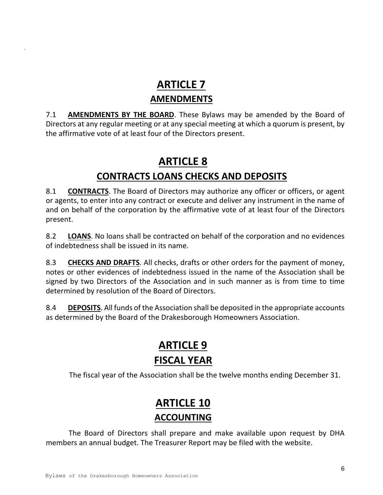## **ARTICLE 7 AMENDMENTS**

7.1 **AMENDMENTS BY THE BOARD**. These Bylaws may be amended by the Board of Directors at any regular meeting or at any special meeting at which a quorum is present, by the affirmative vote of at least four of the Directors present.

## **ARTICLE 8**

## **CONTRACTS LOANS CHECKS AND DEPOSITS**

8.1 **CONTRACTS**. The Board of Directors may authorize any officer or officers, or agent or agents, to enter into any contract or execute and deliver any instrument in the name of and on behalf of the corporation by the affirmative vote of at least four of the Directors present.

8.2 **LOANS**. No loans shall be contracted on behalf of the corporation and no evidences of indebtedness shall be issued in its name.

8.3 **CHECKS AND DRAFTS**. All checks, drafts or other orders for the payment of money, notes or other evidences of indebtedness issued in the name of the Association shall be signed by two Directors of the Association and in such manner as is from time to time determined by resolution of the Board of Directors.

8.4 **DEPOSITS**. All funds of the Association shall be deposited in the appropriate accounts as determined by the Board of the Drakesborough Homeowners Association.

## **ARTICLE 9 FISCAL YEAR**

The fiscal year of the Association shall be the twelve months ending December 31.

## **ARTICLE 10 ACCOUNTING**

The Board of Directors shall prepare and make available upon request by DHA members an annual budget. The Treasurer Report may be filed with the website.